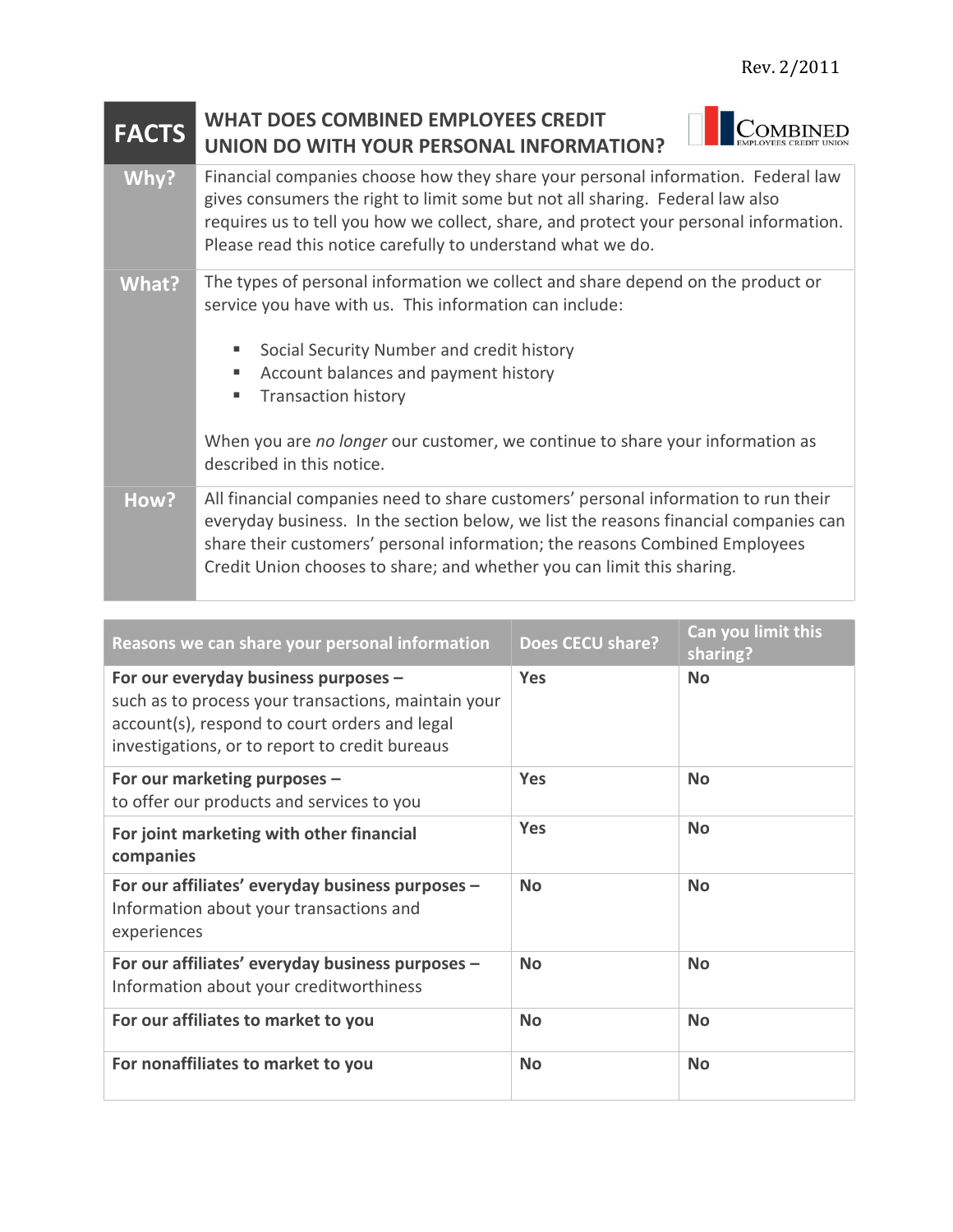## **FACTS WHAT DOES COMBINED EMPLOYEES CREDIT COMBINED UNION DO WITH YOUR PERSONAL INFORMATION?** Why? Financial companies choose how they share your personal information. Federal law gives consumers the right to limit some but not all sharing. Federal law also requires us to tell you how we collect, share, and protect your personal information. Please read this notice carefully to understand what we do. **What?** The types of personal information we collect and share depend on the product or service you have with us. This information can include: Social Security Number and credit history ■ Account balances and payment history **Transaction history** When you are *no longer* our customer, we continue to share your information as described in this notice. **How?** All financial companies need to share customers' personal information to run their everyday business. In the section below, we list the reasons financial companies can share their customers' personal information; the reasons Combined Employees Credit Union chooses to share; and whether you can limit this sharing.

| Reasons we can share your personal information                                                                                                                                                 | <b>Does CECU share?</b> | <b>Can you limit this</b><br>sharing? |
|------------------------------------------------------------------------------------------------------------------------------------------------------------------------------------------------|-------------------------|---------------------------------------|
| For our everyday business purposes -<br>such as to process your transactions, maintain your<br>account(s), respond to court orders and legal<br>investigations, or to report to credit bureaus | <b>Yes</b>              | <b>No</b>                             |
| For our marketing purposes -<br>to offer our products and services to you                                                                                                                      | <b>Yes</b>              | <b>No</b>                             |
| For joint marketing with other financial<br>companies                                                                                                                                          | <b>Yes</b>              | <b>No</b>                             |
| For our affiliates' everyday business purposes -<br>Information about your transactions and<br>experiences                                                                                     | <b>No</b>               | <b>No</b>                             |
| For our affiliates' everyday business purposes -<br>Information about your creditworthiness                                                                                                    | <b>No</b>               | <b>No</b>                             |
| For our affiliates to market to you                                                                                                                                                            | <b>No</b>               | <b>No</b>                             |
| For nonaffiliates to market to you                                                                                                                                                             | <b>No</b>               | <b>No</b>                             |